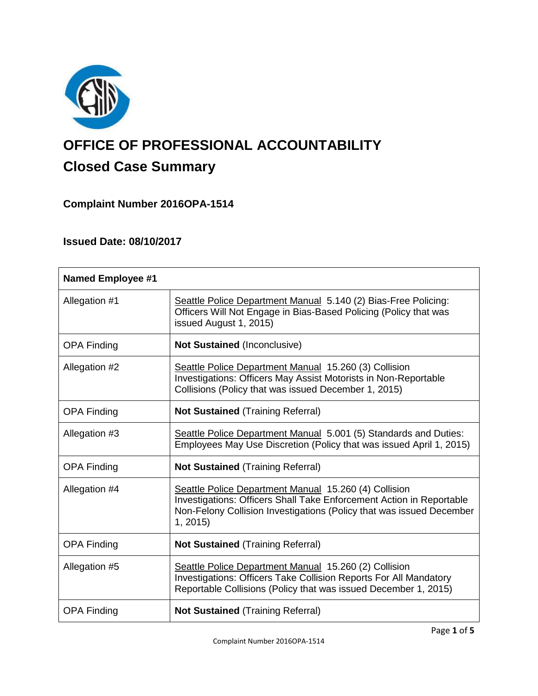

# **OFFICE OF PROFESSIONAL ACCOUNTABILITY Closed Case Summary**

## **Complaint Number 2016OPA-1514**

## **Issued Date: 08/10/2017**

| <b>Named Employee #1</b> |                                                                                                                                                                                                                  |
|--------------------------|------------------------------------------------------------------------------------------------------------------------------------------------------------------------------------------------------------------|
| Allegation #1            | Seattle Police Department Manual 5.140 (2) Bias-Free Policing:<br>Officers Will Not Engage in Bias-Based Policing (Policy that was<br>issued August 1, 2015)                                                     |
| <b>OPA Finding</b>       | Not Sustained (Inconclusive)                                                                                                                                                                                     |
| Allegation #2            | Seattle Police Department Manual 15.260 (3) Collision<br>Investigations: Officers May Assist Motorists in Non-Reportable<br>Collisions (Policy that was issued December 1, 2015)                                 |
| <b>OPA Finding</b>       | <b>Not Sustained (Training Referral)</b>                                                                                                                                                                         |
| Allegation #3            | Seattle Police Department Manual 5.001 (5) Standards and Duties:<br>Employees May Use Discretion (Policy that was issued April 1, 2015)                                                                          |
| <b>OPA Finding</b>       | <b>Not Sustained (Training Referral)</b>                                                                                                                                                                         |
| Allegation #4            | Seattle Police Department Manual 15.260 (4) Collision<br>Investigations: Officers Shall Take Enforcement Action in Reportable<br>Non-Felony Collision Investigations (Policy that was issued December<br>1, 2015 |
| <b>OPA Finding</b>       | <b>Not Sustained (Training Referral)</b>                                                                                                                                                                         |
| Allegation #5            | Seattle Police Department Manual 15.260 (2) Collision<br>Investigations: Officers Take Collision Reports For All Mandatory<br>Reportable Collisions (Policy that was issued December 1, 2015)                    |
| <b>OPA Finding</b>       | <b>Not Sustained (Training Referral)</b>                                                                                                                                                                         |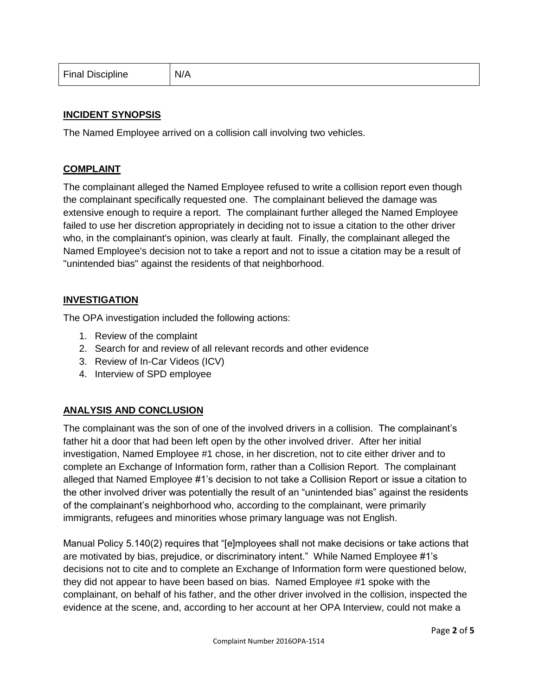| <b>Final Discipline</b> | N/A |
|-------------------------|-----|
|-------------------------|-----|

## **INCIDENT SYNOPSIS**

The Named Employee arrived on a collision call involving two vehicles.

## **COMPLAINT**

The complainant alleged the Named Employee refused to write a collision report even though the complainant specifically requested one. The complainant believed the damage was extensive enough to require a report. The complainant further alleged the Named Employee failed to use her discretion appropriately in deciding not to issue a citation to the other driver who, in the complainant's opinion, was clearly at fault. Finally, the complainant alleged the Named Employee's decision not to take a report and not to issue a citation may be a result of "unintended bias" against the residents of that neighborhood.

## **INVESTIGATION**

The OPA investigation included the following actions:

- 1. Review of the complaint
- 2. Search for and review of all relevant records and other evidence
- 3. Review of In-Car Videos (ICV)
- 4. Interview of SPD employee

## **ANALYSIS AND CONCLUSION**

The complainant was the son of one of the involved drivers in a collision. The complainant's father hit a door that had been left open by the other involved driver. After her initial investigation, Named Employee #1 chose, in her discretion, not to cite either driver and to complete an Exchange of Information form, rather than a Collision Report. The complainant alleged that Named Employee #1's decision to not take a Collision Report or issue a citation to the other involved driver was potentially the result of an "unintended bias" against the residents of the complainant's neighborhood who, according to the complainant, were primarily immigrants, refugees and minorities whose primary language was not English.

Manual Policy 5.140(2) requires that "[e]mployees shall not make decisions or take actions that are motivated by bias, prejudice, or discriminatory intent." While Named Employee #1's decisions not to cite and to complete an Exchange of Information form were questioned below, they did not appear to have been based on bias. Named Employee #1 spoke with the complainant, on behalf of his father, and the other driver involved in the collision, inspected the evidence at the scene, and, according to her account at her OPA Interview, could not make a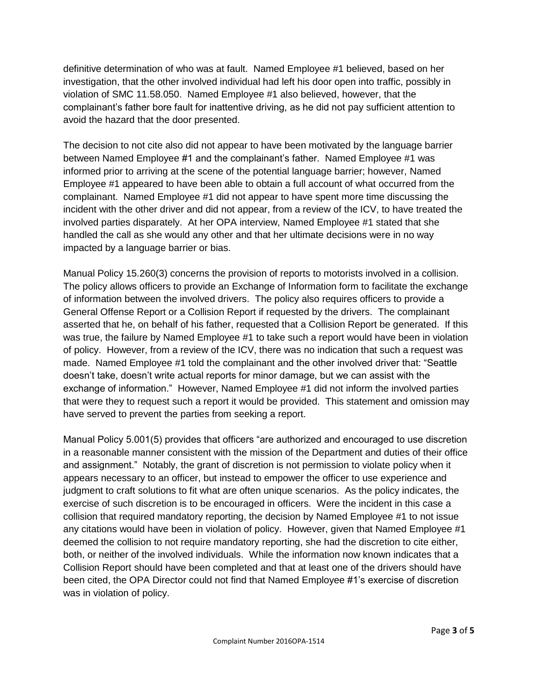definitive determination of who was at fault. Named Employee #1 believed, based on her investigation, that the other involved individual had left his door open into traffic, possibly in violation of SMC 11.58.050. Named Employee #1 also believed, however, that the complainant's father bore fault for inattentive driving, as he did not pay sufficient attention to avoid the hazard that the door presented.

The decision to not cite also did not appear to have been motivated by the language barrier between Named Employee #1 and the complainant's father. Named Employee #1 was informed prior to arriving at the scene of the potential language barrier; however, Named Employee #1 appeared to have been able to obtain a full account of what occurred from the complainant. Named Employee #1 did not appear to have spent more time discussing the incident with the other driver and did not appear, from a review of the ICV, to have treated the involved parties disparately. At her OPA interview, Named Employee #1 stated that she handled the call as she would any other and that her ultimate decisions were in no way impacted by a language barrier or bias.

Manual Policy 15.260(3) concerns the provision of reports to motorists involved in a collision. The policy allows officers to provide an Exchange of Information form to facilitate the exchange of information between the involved drivers. The policy also requires officers to provide a General Offense Report or a Collision Report if requested by the drivers. The complainant asserted that he, on behalf of his father, requested that a Collision Report be generated. If this was true, the failure by Named Employee #1 to take such a report would have been in violation of policy. However, from a review of the ICV, there was no indication that such a request was made. Named Employee #1 told the complainant and the other involved driver that: "Seattle doesn't take, doesn't write actual reports for minor damage, but we can assist with the exchange of information." However, Named Employee #1 did not inform the involved parties that were they to request such a report it would be provided. This statement and omission may have served to prevent the parties from seeking a report.

Manual Policy 5.001(5) provides that officers "are authorized and encouraged to use discretion in a reasonable manner consistent with the mission of the Department and duties of their office and assignment." Notably, the grant of discretion is not permission to violate policy when it appears necessary to an officer, but instead to empower the officer to use experience and judgment to craft solutions to fit what are often unique scenarios. As the policy indicates, the exercise of such discretion is to be encouraged in officers. Were the incident in this case a collision that required mandatory reporting, the decision by Named Employee #1 to not issue any citations would have been in violation of policy. However, given that Named Employee #1 deemed the collision to not require mandatory reporting, she had the discretion to cite either, both, or neither of the involved individuals. While the information now known indicates that a Collision Report should have been completed and that at least one of the drivers should have been cited, the OPA Director could not find that Named Employee #1's exercise of discretion was in violation of policy.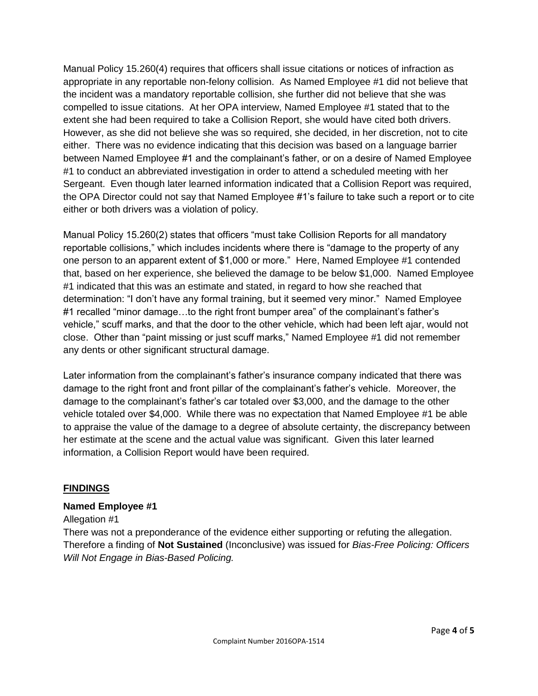Manual Policy 15.260(4) requires that officers shall issue citations or notices of infraction as appropriate in any reportable non-felony collision. As Named Employee #1 did not believe that the incident was a mandatory reportable collision, she further did not believe that she was compelled to issue citations. At her OPA interview, Named Employee #1 stated that to the extent she had been required to take a Collision Report, she would have cited both drivers. However, as she did not believe she was so required, she decided, in her discretion, not to cite either. There was no evidence indicating that this decision was based on a language barrier between Named Employee #1 and the complainant's father, or on a desire of Named Employee #1 to conduct an abbreviated investigation in order to attend a scheduled meeting with her Sergeant. Even though later learned information indicated that a Collision Report was required, the OPA Director could not say that Named Employee #1's failure to take such a report or to cite either or both drivers was a violation of policy.

Manual Policy 15.260(2) states that officers "must take Collision Reports for all mandatory reportable collisions," which includes incidents where there is "damage to the property of any one person to an apparent extent of \$1,000 or more." Here, Named Employee #1 contended that, based on her experience, she believed the damage to be below \$1,000. Named Employee #1 indicated that this was an estimate and stated, in regard to how she reached that determination: "I don't have any formal training, but it seemed very minor." Named Employee #1 recalled "minor damage…to the right front bumper area" of the complainant's father's vehicle," scuff marks, and that the door to the other vehicle, which had been left ajar, would not close. Other than "paint missing or just scuff marks," Named Employee #1 did not remember any dents or other significant structural damage.

Later information from the complainant's father's insurance company indicated that there was damage to the right front and front pillar of the complainant's father's vehicle. Moreover, the damage to the complainant's father's car totaled over \$3,000, and the damage to the other vehicle totaled over \$4,000. While there was no expectation that Named Employee #1 be able to appraise the value of the damage to a degree of absolute certainty, the discrepancy between her estimate at the scene and the actual value was significant. Given this later learned information, a Collision Report would have been required.

## **FINDINGS**

## **Named Employee #1**

#### Allegation #1

There was not a preponderance of the evidence either supporting or refuting the allegation. Therefore a finding of **Not Sustained** (Inconclusive) was issued for *Bias-Free Policing: Officers Will Not Engage in Bias-Based Policing.*